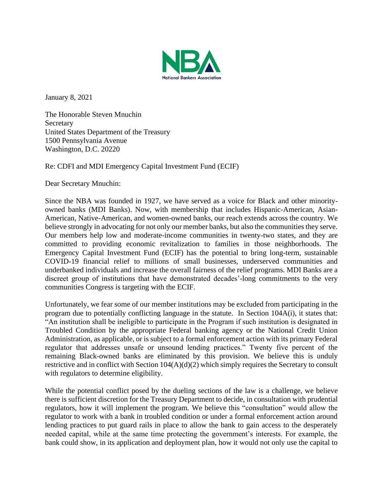

January 8, 2021

The Honorable Steven Mnuchin Secretary United States Department of the Treasury 1500 Pennsylvania Avenue Washington, D.C. 20220

Re: CDFI and MDI Emergency Capital Investment Fund (ECIF)

Dear Secretary Mnuchin:

Since the NBA was founded in 1927, we have served as a voice for Black and other minorityowned banks (MDI Banks). Now, with membership that includes Hispanic-American, Asian-American, Native-American, and women-owned banks, our reach extends across the country. We believe strongly in advocating for not only our member banks, but also the communities they serve. Our members help low and moderate-income communities in twenty-two states, and they are committed to providing economic revitalization to families in those neighborhoods. The Emergency Capital Investment Fund (ECIF) has the potential to bring long-term, sustainable COVID-19 financial relief to millions of small businesses, underserved communities and underbanked individuals and increase the overall fairness of the relief programs. MDI Banks are a discreet group of institutions that have demonstrated decades'-long commitments to the very communities Congress is targeting with the ECIF.

Unfortunately, we fear some of our member institutions may be excluded from participating in the program due to potentially conflicting language in the statute. In Section 104A(i), it states that: "An institution shall be ineligible to participate in the Program if such institution is designated in Troubled Condition by the appropriate Federal banking agency or the National Credit Union Administration, as applicable, or is subject to a formal enforcement action with its primary Federal regulator that addresses unsafe or unsound lending practices." Twenty five percent of the remaining Black-owned banks are eliminated by this provision. We believe this is unduly restrictive and in conflict with Section 104(A)(d)(2) which simply requires the Secretary to consult with regulators to determine eligibility.

While the potential conflict posed by the dueling sections of the law is a challenge, we believe there is sufficient discretion for the Treasury Department to decide, in consultation with prudential regulators, how it will implement the program. We believe this "consultation" would allow the regulator to work with a bank in troubled condition or under a formal enforcement action around lending practices to put guard rails in place to allow the bank to gain access to the desperately needed capital, while at the same time protecting the government's interests. For example, the bank could show, in its application and deployment plan, how it would not only use the capital to